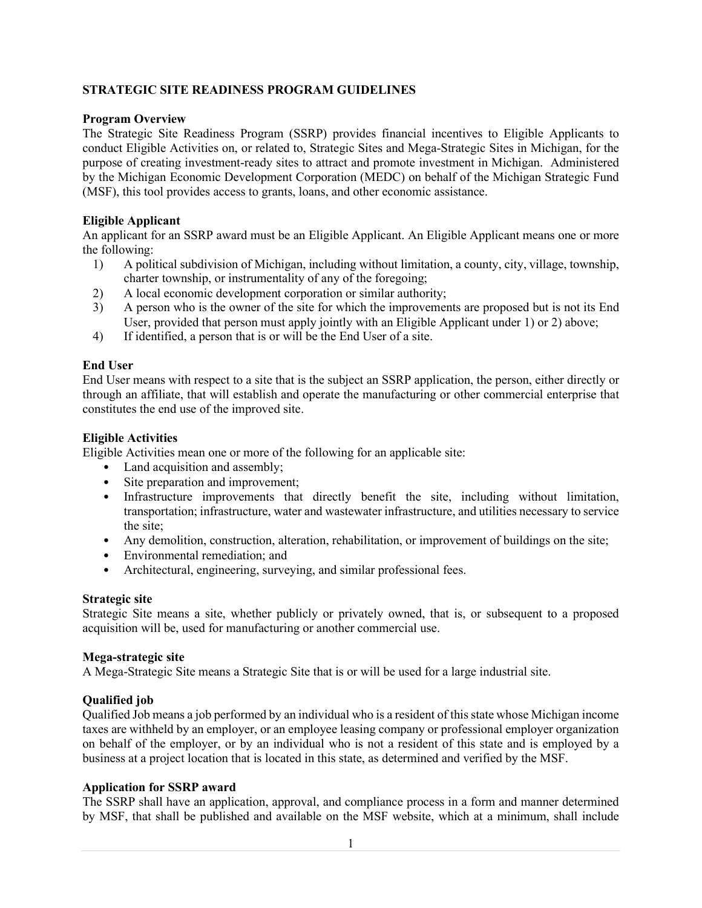### **STRATEGIC SITE READINESS PROGRAM GUIDELINES**

### **Program Overview**

The Strategic Site Readiness Program (SSRP) provides financial incentives to Eligible Applicants to conduct Eligible Activities on, or related to, Strategic Sites and Mega-Strategic Sites in Michigan, for the purpose of creating investment-ready sites to attract and promote investment in Michigan. Administered by the Michigan Economic Development Corporation (MEDC) on behalf of the Michigan Strategic Fund (MSF), this tool provides access to grants, loans, and other economic assistance.

### **Eligible Applicant**

An applicant for an SSRP award must be an Eligible Applicant. An Eligible Applicant means one or more the following:

- 1) A political subdivision of Michigan, including without limitation, a county, city, village, township, charter township, or instrumentality of any of the foregoing;
- 2) A local economic development corporation or similar authority;
- 3) A person who is the owner of the site for which the improvements are proposed but is not its End User, provided that person must apply jointly with an Eligible Applicant under 1) or 2) above;
- 4) If identified, a person that is or will be the End User of a site.

### **End User**

End User means with respect to a site that is the subject an SSRP application, the person, either directly or through an affiliate, that will establish and operate the manufacturing or other commercial enterprise that constitutes the end use of the improved site.

### **Eligible Activities**

Eligible Activities mean one or more of the following for an applicable site:

- Land acquisition and assembly;
- Site preparation and improvement;
- Infrastructure improvements that directly benefit the site, including without limitation, transportation; infrastructure, water and wastewater infrastructure, and utilities necessary to service the site;
- Any demolition, construction, alteration, rehabilitation, or improvement of buildings on the site;
- Environmental remediation; and
- Architectural, engineering, surveying, and similar professional fees.

### **Strategic site**

Strategic Site means a site, whether publicly or privately owned, that is, or subsequent to a proposed acquisition will be, used for manufacturing or another commercial use.

### **Mega-strategic site**

A Mega-Strategic Site means a Strategic Site that is or will be used for a large industrial site.

## **Qualified job**

Qualified Job means a job performed by an individual who is a resident of this state whose Michigan income taxes are withheld by an employer, or an employee leasing company or professional employer organization on behalf of the employer, or by an individual who is not a resident of this state and is employed by a business at a project location that is located in this state, as determined and verified by the MSF.

### **Application for SSRP award**

The SSRP shall have an application, approval, and compliance process in a form and manner determined by MSF, that shall be published and available on the MSF website, which at a minimum, shall include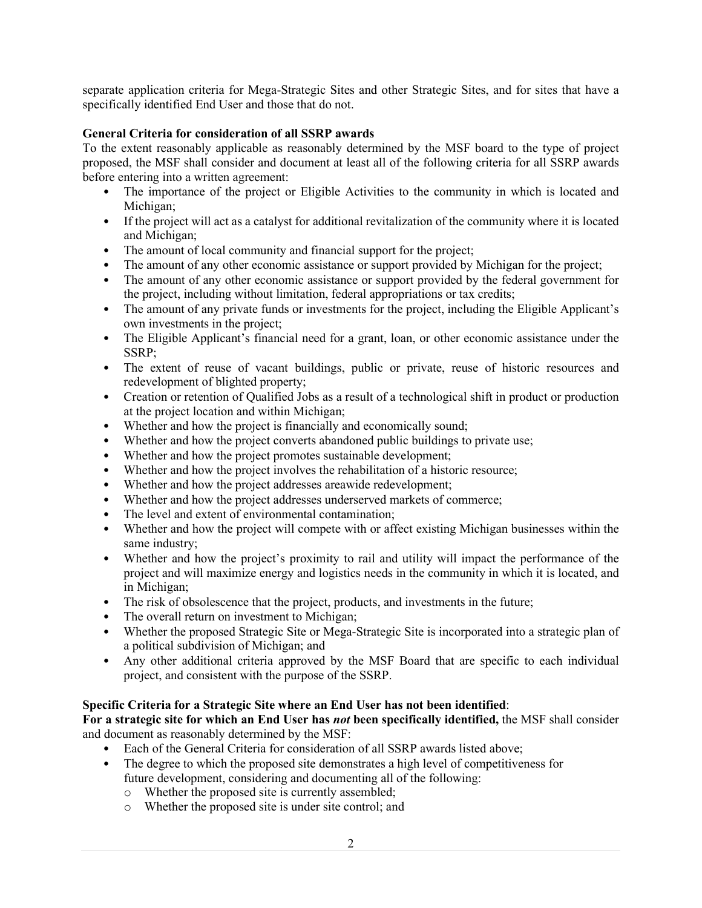separate application criteria for Mega-Strategic Sites and other Strategic Sites, and for sites that have a specifically identified End User and those that do not.

### **General Criteria for consideration of all SSRP awards**

To the extent reasonably applicable as reasonably determined by the MSF board to the type of project proposed, the MSF shall consider and document at least all of the following criteria for all SSRP awards before entering into a written agreement:

- The importance of the project or Eligible Activities to the community in which is located and Michigan;
- If the project will act as a catalyst for additional revitalization of the community where it is located and Michigan;
- The amount of local community and financial support for the project;
- The amount of any other economic assistance or support provided by Michigan for the project;
- The amount of any other economic assistance or support provided by the federal government for the project, including without limitation, federal appropriations or tax credits;
- The amount of any private funds or investments for the project, including the Eligible Applicant's own investments in the project;
- The Eligible Applicant's financial need for a grant, loan, or other economic assistance under the SSRP;
- The extent of reuse of vacant buildings, public or private, reuse of historic resources and redevelopment of blighted property;
- Creation or retention of Qualified Jobs as a result of a technological shift in product or production at the project location and within Michigan;
- Whether and how the project is financially and economically sound;
- Whether and how the project converts abandoned public buildings to private use;
- Whether and how the project promotes sustainable development;
- Whether and how the project involves the rehabilitation of a historic resource;
- Whether and how the project addresses areawide redevelopment;
- Whether and how the project addresses underserved markets of commerce:
- The level and extent of environmental contamination:
- Whether and how the project will compete with or affect existing Michigan businesses within the same industry;
- Whether and how the project's proximity to rail and utility will impact the performance of the project and will maximize energy and logistics needs in the community in which it is located, and in Michigan;
- The risk of obsolescence that the project, products, and investments in the future;
- The overall return on investment to Michigan;
- Whether the proposed Strategic Site or Mega-Strategic Site is incorporated into a strategic plan of a political subdivision of Michigan; and
- Any other additional criteria approved by the MSF Board that are specific to each individual project, and consistent with the purpose of the SSRP.

## **Specific Criteria for a Strategic Site where an End User has not been identified**:

**For a strategic site for which an End User has** *not* **been specifically identified,** the MSF shall consider and document as reasonably determined by the MSF:

- Each of the General Criteria for consideration of all SSRP awards listed above;
- The degree to which the proposed site demonstrates a high level of competitiveness for future development, considering and documenting all of the following:
	- o Whether the proposed site is currently assembled;
	- o Whether the proposed site is under site control; and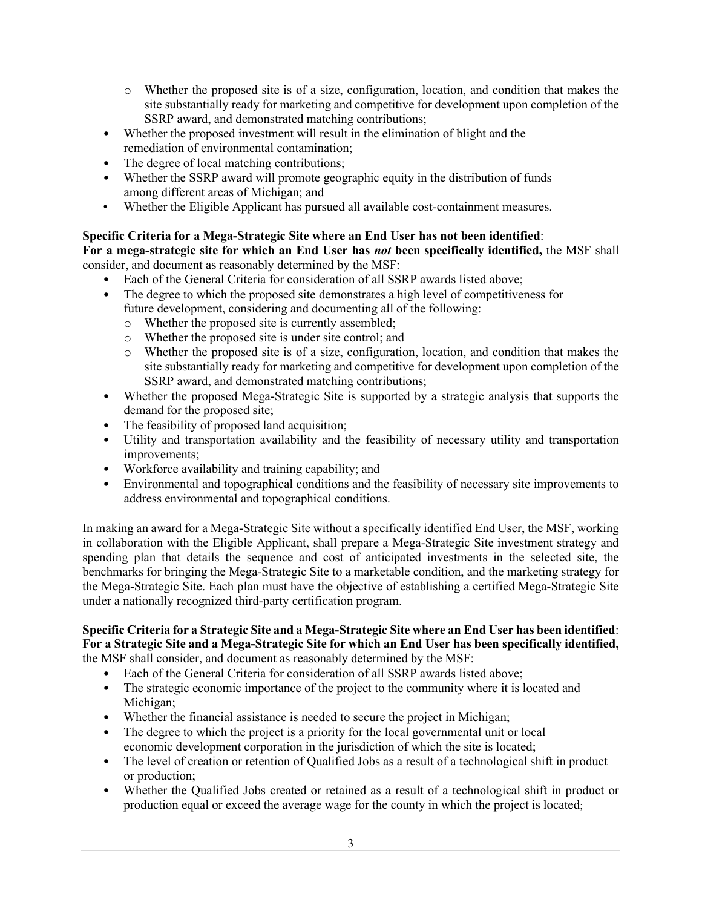- o Whether the proposed site is of a size, configuration, location, and condition that makes the site substantially ready for marketing and competitive for development upon completion of the SSRP award, and demonstrated matching contributions;
- Whether the proposed investment will result in the elimination of blight and the remediation of environmental contamination;
- The degree of local matching contributions;
- Whether the SSRP award will promote geographic equity in the distribution of funds among different areas of Michigan; and
- Whether the Eligible Applicant has pursued all available cost-containment measures.

# **Specific Criteria for a Mega-Strategic Site where an End User has not been identified**:

**For a mega-strategic site for which an End User has** *not* **been specifically identified,** the MSF shall consider, and document as reasonably determined by the MSF:

- Each of the General Criteria for consideration of all SSRP awards listed above;
- The degree to which the proposed site demonstrates a high level of competitiveness for future development, considering and documenting all of the following:
	- o Whether the proposed site is currently assembled;
	- o Whether the proposed site is under site control; and
	- o Whether the proposed site is of a size, configuration, location, and condition that makes the site substantially ready for marketing and competitive for development upon completion of the SSRP award, and demonstrated matching contributions;
- Whether the proposed Mega-Strategic Site is supported by a strategic analysis that supports the demand for the proposed site;
- The feasibility of proposed land acquisition;
- Utility and transportation availability and the feasibility of necessary utility and transportation improvements;
- Workforce availability and training capability; and
- Environmental and topographical conditions and the feasibility of necessary site improvements to address environmental and topographical conditions.

In making an award for a Mega-Strategic Site without a specifically identified End User, the MSF, working in collaboration with the Eligible Applicant, shall prepare a Mega-Strategic Site investment strategy and spending plan that details the sequence and cost of anticipated investments in the selected site, the benchmarks for bringing the Mega-Strategic Site to a marketable condition, and the marketing strategy for the Mega-Strategic Site. Each plan must have the objective of establishing a certified Mega-Strategic Site under a nationally recognized third-party certification program.

### **Specific Criteria for a Strategic Site and a Mega-Strategic Site where an End User has been identified**: **For a Strategic Site and a Mega-Strategic Site for which an End User has been specifically identified,** the MSF shall consider, and document as reasonably determined by the MSF:

- Each of the General Criteria for consideration of all SSRP awards listed above;
- The strategic economic importance of the project to the community where it is located and Michigan;
- Whether the financial assistance is needed to secure the project in Michigan;
- The degree to which the project is a priority for the local governmental unit or local economic development corporation in the jurisdiction of which the site is located;
- The level of creation or retention of Qualified Jobs as a result of a technological shift in product or production;
- Whether the Qualified Jobs created or retained as a result of a technological shift in product or production equal or exceed the average wage for the county in which the project is located;